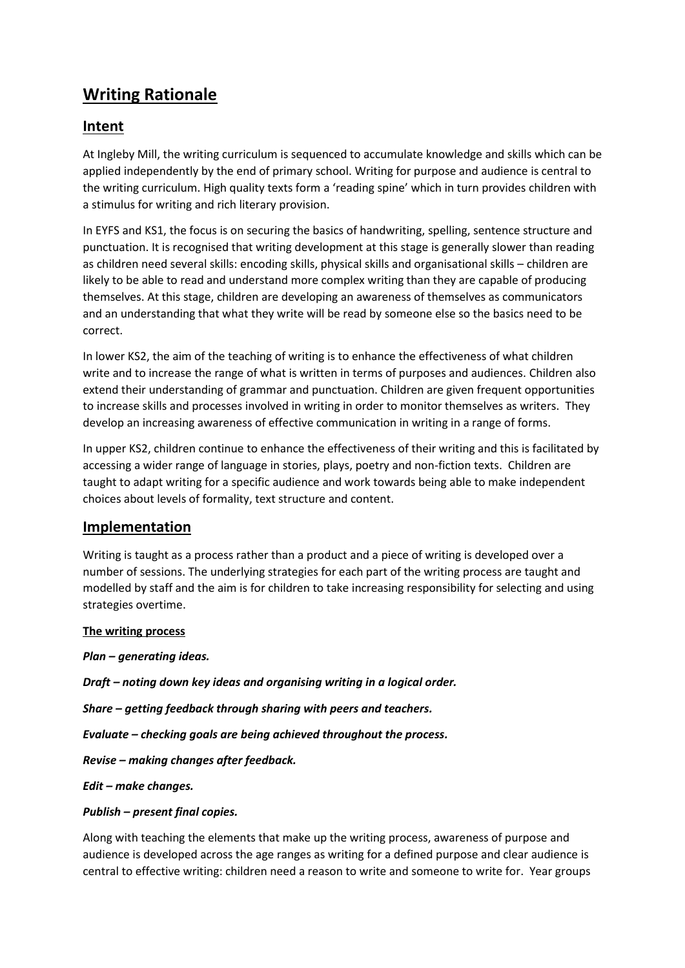# **Writing Rationale**

# **Intent**

At Ingleby Mill, the writing curriculum is sequenced to accumulate knowledge and skills which can be applied independently by the end of primary school. Writing for purpose and audience is central to the writing curriculum. High quality texts form a 'reading spine' which in turn provides children with a stimulus for writing and rich literary provision.

In EYFS and KS1, the focus is on securing the basics of handwriting, spelling, sentence structure and punctuation. It is recognised that writing development at this stage is generally slower than reading as children need several skills: encoding skills, physical skills and organisational skills – children are likely to be able to read and understand more complex writing than they are capable of producing themselves. At this stage, children are developing an awareness of themselves as communicators and an understanding that what they write will be read by someone else so the basics need to be correct.

In lower KS2, the aim of the teaching of writing is to enhance the effectiveness of what children write and to increase the range of what is written in terms of purposes and audiences. Children also extend their understanding of grammar and punctuation. Children are given frequent opportunities to increase skills and processes involved in writing in order to monitor themselves as writers. They develop an increasing awareness of effective communication in writing in a range of forms.

In upper KS2, children continue to enhance the effectiveness of their writing and this is facilitated by accessing a wider range of language in stories, plays, poetry and non-fiction texts. Children are taught to adapt writing for a specific audience and work towards being able to make independent choices about levels of formality, text structure and content.

## **Implementation**

Writing is taught as a process rather than a product and a piece of writing is developed over a number of sessions. The underlying strategies for each part of the writing process are taught and modelled by staff and the aim is for children to take increasing responsibility for selecting and using strategies overtime.

#### **The writing process**

*Plan – generating ideas.*

*Draft – noting down key ideas and organising writing in a logical order.*

*Share – getting feedback through sharing with peers and teachers.*

*Evaluate – checking goals are being achieved throughout the process.*

*Revise – making changes after feedback.*

*Edit – make changes.*

#### *Publish – present final copies.*

Along with teaching the elements that make up the writing process, awareness of purpose and audience is developed across the age ranges as writing for a defined purpose and clear audience is central to effective writing: children need a reason to write and someone to write for. Year groups